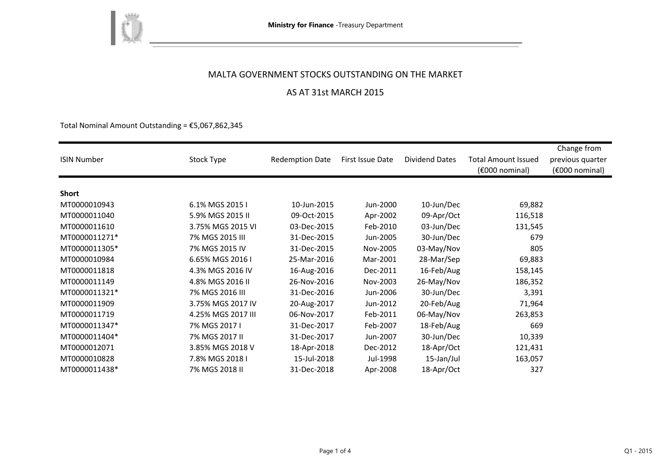

### MALTA GOVERNMENT STOCKS OUTSTANDING ON THE MARKET

# AS AT 31st MARCH 2015

Total Nominal Amount Outstanding =  $£5,067,862,345$ 

| <b>ISIN Number</b> | Stock Type         | <b>Redemption Date</b> | First Issue Date | <b>Dividend Dates</b> | <b>Total Amount Issued</b><br>(€000 nominal) | Change from<br>previous quarter<br>(€000 nominal) |
|--------------------|--------------------|------------------------|------------------|-----------------------|----------------------------------------------|---------------------------------------------------|
|                    |                    |                        |                  |                       |                                              |                                                   |
| Short              |                    |                        |                  |                       |                                              |                                                   |
| MT0000010943       | 6.1% MGS 2015 I    | 10-Jun-2015            | Jun-2000         | 10-Jun/Dec            | 69,882                                       |                                                   |
| MT0000011040       | 5.9% MGS 2015 II   | 09-Oct-2015            | Apr-2002         | 09-Apr/Oct            | 116,518                                      |                                                   |
| MT0000011610       | 3.75% MGS 2015 VI  | 03-Dec-2015            | Feb-2010         | 03-Jun/Dec            | 131,545                                      |                                                   |
| MT0000011271*      | 7% MGS 2015 III    | 31-Dec-2015            | Jun-2005         | 30-Jun/Dec            | 679                                          |                                                   |
| MT0000011305*      | 7% MGS 2015 IV     | 31-Dec-2015            | Nov-2005         | 03-May/Nov            | 805                                          |                                                   |
| MT0000010984       | 6.65% MGS 2016 I   | 25-Mar-2016            | Mar-2001         | 28-Mar/Sep            | 69,883                                       |                                                   |
| MT0000011818       | 4.3% MGS 2016 IV   | 16-Aug-2016            | Dec-2011         | 16-Feb/Aug            | 158,145                                      |                                                   |
| MT0000011149       | 4.8% MGS 2016 II   | 26-Nov-2016            | Nov-2003         | 26-May/Nov            | 186,352                                      |                                                   |
| MT0000011321*      | 7% MGS 2016 III    | 31-Dec-2016            | Jun-2006         | 30-Jun/Dec            | 3,391                                        |                                                   |
| MT0000011909       | 3.75% MGS 2017 IV  | 20-Aug-2017            | Jun-2012         | 20-Feb/Aug            | 71,964                                       |                                                   |
| MT0000011719       | 4.25% MGS 2017 III | 06-Nov-2017            | Feb-2011         | 06-May/Nov            | 263,853                                      |                                                   |
| MT0000011347*      | 7% MGS 2017 I      | 31-Dec-2017            | Feb-2007         | 18-Feb/Aug            | 669                                          |                                                   |
| MT0000011404*      | 7% MGS 2017 II     | 31-Dec-2017            | Jun-2007         | 30-Jun/Dec            | 10,339                                       |                                                   |
| MT0000012071       | 3.85% MGS 2018 V   | 18-Apr-2018            | Dec-2012         | 18-Apr/Oct            | 121,431                                      |                                                   |
| MT0000010828       | 7.8% MGS 2018 I    | 15-Jul-2018            | Jul-1998         | 15-Jan/Jul            | 163,057                                      |                                                   |
| MT0000011438*      | 7% MGS 2018 II     | 31-Dec-2018            | Apr-2008         | 18-Apr/Oct            | 327                                          |                                                   |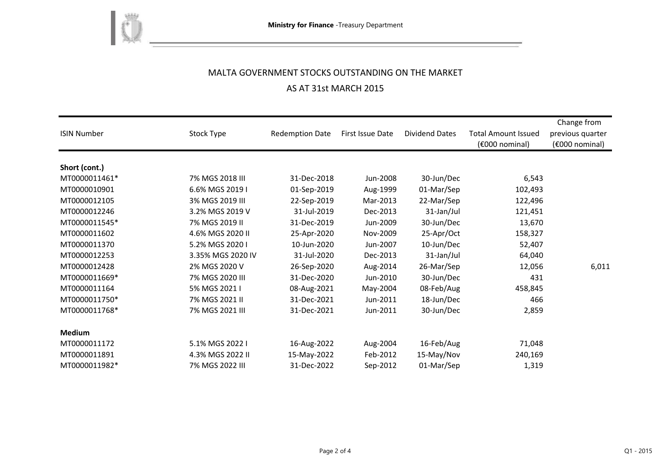

# MALTA GOVERNMENT STOCKS OUTSTANDING ON THE MARKET AS AT 31st MARCH 2015

| <b>ISIN Number</b> | Stock Type        | <b>Redemption Date</b> | First Issue Date | <b>Dividend Dates</b> | <b>Total Amount Issued</b><br>(€000 nominal) | Change from<br>previous quarter<br>(€000 nominal) |
|--------------------|-------------------|------------------------|------------------|-----------------------|----------------------------------------------|---------------------------------------------------|
| Short (cont.)      |                   |                        |                  |                       |                                              |                                                   |
| MT0000011461*      | 7% MGS 2018 III   | 31-Dec-2018            | Jun-2008         | 30-Jun/Dec            | 6,543                                        |                                                   |
| MT0000010901       | 6.6% MGS 2019 I   | 01-Sep-2019            | Aug-1999         | 01-Mar/Sep            | 102,493                                      |                                                   |
| MT0000012105       | 3% MGS 2019 III   | 22-Sep-2019            | Mar-2013         | 22-Mar/Sep            | 122,496                                      |                                                   |
| MT0000012246       | 3.2% MGS 2019 V   | 31-Jul-2019            | Dec-2013         | 31-Jan/Jul            | 121,451                                      |                                                   |
| MT0000011545*      | 7% MGS 2019 II    | 31-Dec-2019            | Jun-2009         | 30-Jun/Dec            | 13,670                                       |                                                   |
| MT0000011602       | 4.6% MGS 2020 II  | 25-Apr-2020            | Nov-2009         | 25-Apr/Oct            | 158,327                                      |                                                   |
| MT0000011370       | 5.2% MGS 2020 I   | 10-Jun-2020            | Jun-2007         | 10-Jun/Dec            | 52,407                                       |                                                   |
| MT0000012253       | 3.35% MGS 2020 IV | 31-Jul-2020            | Dec-2013         | 31-Jan/Jul            | 64,040                                       |                                                   |
| MT0000012428       | 2% MGS 2020 V     | 26-Sep-2020            | Aug-2014         | 26-Mar/Sep            | 12,056                                       | 6,011                                             |
| MT0000011669*      | 7% MGS 2020 III   | 31-Dec-2020            | Jun-2010         | 30-Jun/Dec            | 431                                          |                                                   |
| MT0000011164       | 5% MGS 2021 I     | 08-Aug-2021            | May-2004         | 08-Feb/Aug            | 458,845                                      |                                                   |
| MT0000011750*      | 7% MGS 2021 II    | 31-Dec-2021            | Jun-2011         | 18-Jun/Dec            | 466                                          |                                                   |
| MT0000011768*      | 7% MGS 2021 III   | 31-Dec-2021            | Jun-2011         | 30-Jun/Dec            | 2,859                                        |                                                   |
| <b>Medium</b>      |                   |                        |                  |                       |                                              |                                                   |
| MT0000011172       | 5.1% MGS 2022 I   | 16-Aug-2022            | Aug-2004         | 16-Feb/Aug            | 71,048                                       |                                                   |
| MT0000011891       | 4.3% MGS 2022 II  | 15-May-2022            | Feb-2012         | 15-May/Nov            | 240,169                                      |                                                   |
| MT0000011982*      | 7% MGS 2022 III   | 31-Dec-2022            | Sep-2012         | 01-Mar/Sep            | 1,319                                        |                                                   |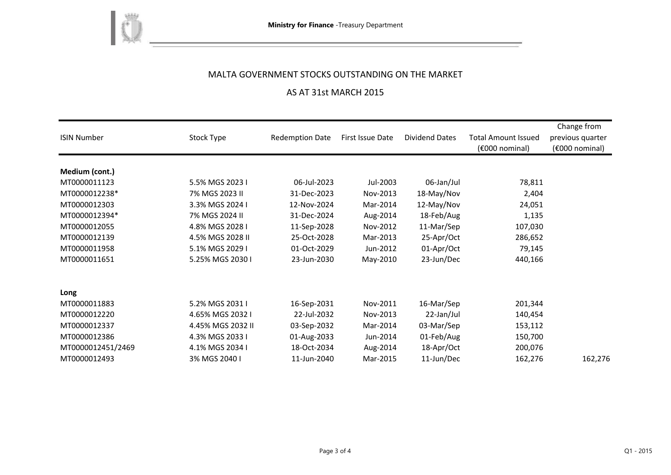

# MALTA GOVERNMENT STOCKS OUTSTANDING ON THE MARKET

# AS AT 31st MARCH 2015

| <b>ISIN Number</b> | Stock Type        | <b>Redemption Date</b> | First Issue Date | <b>Dividend Dates</b> | <b>Total Amount Issued</b><br>$(6000)$ nominal) | Change from<br>previous quarter<br>(€000 nominal) |
|--------------------|-------------------|------------------------|------------------|-----------------------|-------------------------------------------------|---------------------------------------------------|
|                    |                   |                        |                  |                       |                                                 |                                                   |
| Medium (cont.)     |                   |                        |                  |                       |                                                 |                                                   |
| MT0000011123       | 5.5% MGS 2023 I   | 06-Jul-2023            | Jul-2003         | 06-Jan/Jul            | 78,811                                          |                                                   |
| MT0000012238*      | 7% MGS 2023 II    | 31-Dec-2023            | Nov-2013         | 18-May/Nov            | 2,404                                           |                                                   |
| MT0000012303       | 3.3% MGS 2024 I   | 12-Nov-2024            | Mar-2014         | 12-May/Nov            | 24,051                                          |                                                   |
| MT0000012394*      | 7% MGS 2024 II    | 31-Dec-2024            | Aug-2014         | 18-Feb/Aug            | 1,135                                           |                                                   |
| MT0000012055       | 4.8% MGS 2028 I   | 11-Sep-2028            | Nov-2012         | 11-Mar/Sep            | 107,030                                         |                                                   |
| MT0000012139       | 4.5% MGS 2028 II  | 25-Oct-2028            | Mar-2013         | 25-Apr/Oct            | 286,652                                         |                                                   |
| MT0000011958       | 5.1% MGS 2029 I   | 01-Oct-2029            | Jun-2012         | 01-Apr/Oct            | 79,145                                          |                                                   |
| MT0000011651       | 5.25% MGS 2030 I  | 23-Jun-2030            | May-2010         | 23-Jun/Dec            | 440,166                                         |                                                   |
| Long               |                   |                        |                  |                       |                                                 |                                                   |
| MT0000011883       | 5.2% MGS 2031 I   | 16-Sep-2031            | Nov-2011         | 16-Mar/Sep            | 201,344                                         |                                                   |
| MT0000012220       | 4.65% MGS 2032 I  | 22-Jul-2032            | Nov-2013         | 22-Jan/Jul            | 140,454                                         |                                                   |
| MT0000012337       | 4.45% MGS 2032 II | 03-Sep-2032            | Mar-2014         | 03-Mar/Sep            | 153,112                                         |                                                   |
| MT0000012386       | 4.3% MGS 2033 I   | 01-Aug-2033            | Jun-2014         | 01-Feb/Aug            | 150,700                                         |                                                   |
| MT0000012451/2469  | 4.1% MGS 2034 I   | 18-Oct-2034            | Aug-2014         | 18-Apr/Oct            | 200,076                                         |                                                   |
| MT0000012493       | 3% MGS 2040 I     | 11-Jun-2040            | Mar-2015         | 11-Jun/Dec            | 162,276                                         | 162,276                                           |